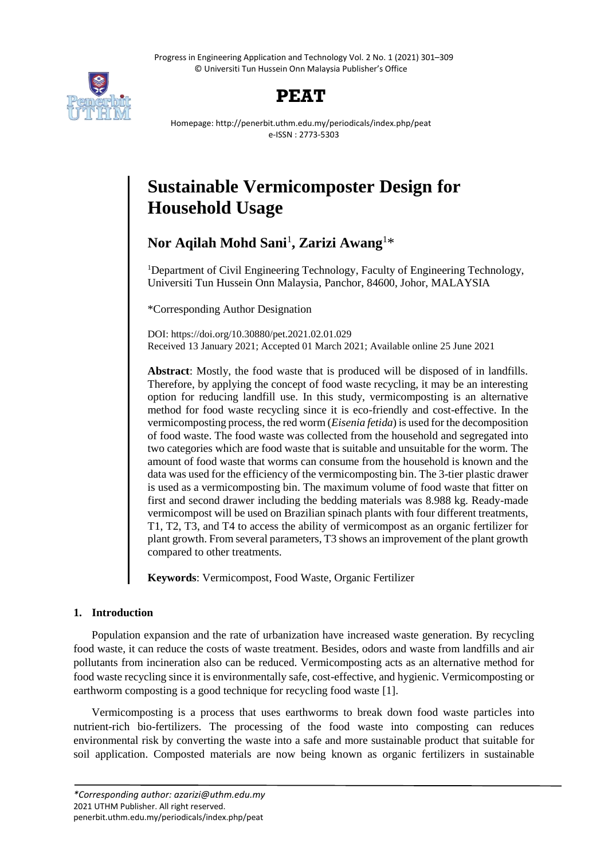Progress in Engineering Application and Technology Vol. 2 No. 1 (2021) 301–309 © Universiti Tun Hussein Onn Malaysia Publisher's Office



## **PEAT**

Homepage: http://penerbit.uthm.edu.my/periodicals/index.php/peat e-ISSN : 2773-5303

# **Sustainable Vermicomposter Design for Household Usage**

**Nor Aqilah Mohd Sani**<sup>1</sup> **, Zarizi Awang**<sup>1</sup>\*

<sup>1</sup>Department of Civil Engineering Technology, Faculty of Engineering Technology, Universiti Tun Hussein Onn Malaysia, Panchor, 84600, Johor, MALAYSIA

\*Corresponding Author Designation

DOI: https://doi.org/10.30880/pet.2021.02.01.029 Received 13 January 2021; Accepted 01 March 2021; Available online 25 June 2021

**Abstract**: Mostly, the food waste that is produced will be disposed of in landfills. Therefore, by applying the concept of food waste recycling, it may be an interesting option for reducing landfill use. In this study, vermicomposting is an alternative method for food waste recycling since it is eco-friendly and cost-effective. In the vermicomposting process, the red worm (*Eisenia fetida*) is used for the decomposition of food waste. The food waste was collected from the household and segregated into two categories which are food waste that is suitable and unsuitable for the worm. The amount of food waste that worms can consume from the household is known and the data was used for the efficiency of the vermicomposting bin. The 3-tier plastic drawer is used as a vermicomposting bin. The maximum volume of food waste that fitter on first and second drawer including the bedding materials was 8.988 kg. Ready-made vermicompost will be used on Brazilian spinach plants with four different treatments, T1, T2, T3, and T4 to access the ability of vermicompost as an organic fertilizer for plant growth. From several parameters, T3 shows an improvement of the plant growth compared to other treatments.

**Keywords**: Vermicompost, Food Waste, Organic Fertilizer

## **1. Introduction**

Population expansion and the rate of urbanization have increased waste generation. By recycling food waste, it can reduce the costs of waste treatment. Besides, odors and waste from landfills and air pollutants from incineration also can be reduced. Vermicomposting acts as an alternative method for food waste recycling since it is environmentally safe, cost-effective, and hygienic. Vermicomposting or earthworm composting is a good technique for recycling food waste [1].

Vermicomposting is a process that uses earthworms to break down food waste particles into nutrient-rich bio-fertilizers. The processing of the food waste into composting can reduces environmental risk by converting the waste into a safe and more sustainable product that suitable for soil application. Composted materials are now being known as organic fertilizers in sustainable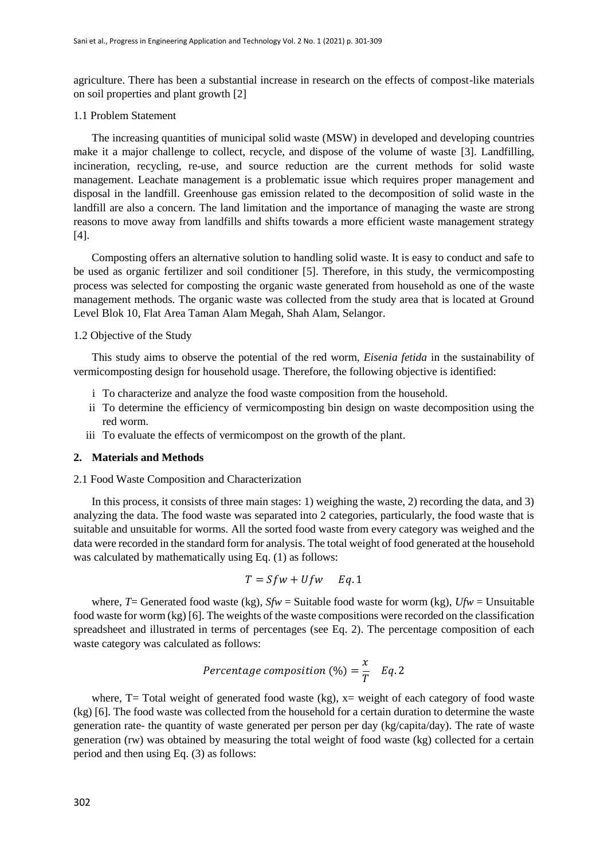agriculture. There has been a substantial increase in research on the effects of compost-like materials on soil properties and plant growth [2]

#### 1.1 Problem Statement

The increasing quantities of municipal solid waste (MSW) in developed and developing countries make it a major challenge to collect, recycle, and dispose of the volume of waste [3]. Landfilling, incineration, recycling, re-use, and source reduction are the current methods for solid waste management. Leachate management is a problematic issue which requires proper management and disposal in the landfill. Greenhouse gas emission related to the decomposition of solid waste in the landfill are also a concern. The land limitation and the importance of managing the waste are strong reasons to move away from landfills and shifts towards a more efficient waste management strategy [4].

Composting offers an alternative solution to handling solid waste. It is easy to conduct and safe to be used as organic fertilizer and soil conditioner [5]. Therefore, in this study, the vermicomposting process was selected for composting the organic waste generated from household as one of the waste management methods. The organic waste was collected from the study area that is located at Ground Level Blok 10, Flat Area Taman Alam Megah, Shah Alam, Selangor.

#### 1.2 Objective of the Study

This study aims to observe the potential of the red worm, *Eisenia fetida* in the sustainability of vermicomposting design for household usage. Therefore, the following objective is identified:

- i To characterize and analyze the food waste composition from the household.
- ii To determine the efficiency of vermicomposting bin design on waste decomposition using the red worm.
- iii To evaluate the effects of vermicompost on the growth of the plant.

#### **2. Materials and Methods**

#### 2.1 Food Waste Composition and Characterization

In this process, it consists of three main stages: 1) weighing the waste, 2) recording the data, and 3) analyzing the data. The food waste was separated into 2 categories, particularly, the food waste that is suitable and unsuitable for worms. All the sorted food waste from every category was weighed and the data were recorded in the standard form for analysis. The total weight of food generated at the household was calculated by mathematically using Eq. (1) as follows:

$$
T = Sf w + Uf w \quad Eq. 1
$$

where, *T*= Generated food waste (kg), *Sfw* = Suitable food waste for worm (kg), *Ufw* = Unsuitable food waste for worm (kg) [6]. The weights of the waste compositions were recorded on the classification spreadsheet and illustrated in terms of percentages (see Eq. 2). The percentage composition of each waste category was calculated as follows:

$$
Percentage composition (\%) = \frac{x}{T} \quad Eq. 2
$$

where,  $T=$  Total weight of generated food waste (kg),  $x=$  weight of each category of food waste (kg) [6]. The food waste was collected from the household for a certain duration to determine the waste generation rate- the quantity of waste generated per person per day (kg/capita/day). The rate of waste generation (rw) was obtained by measuring the total weight of food waste (kg) collected for a certain period and then using Eq. (3) as follows: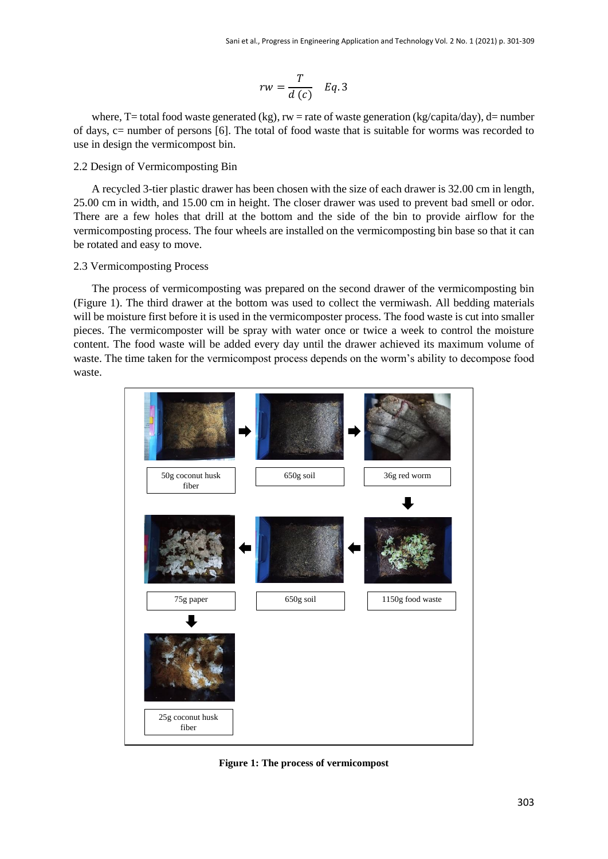$$
rw = \frac{T}{d(c)} \quad Eq. 3
$$

where, T= total food waste generated (kg),  $rw =$  rate of waste generation (kg/capita/day), d= number of days, c= number of persons [6]. The total of food waste that is suitable for worms was recorded to use in design the vermicompost bin.

#### 2.2 Design of Vermicomposting Bin

A recycled 3-tier plastic drawer has been chosen with the size of each drawer is 32.00 cm in length, 25.00 cm in width, and 15.00 cm in height. The closer drawer was used to prevent bad smell or odor. There are a few holes that drill at the bottom and the side of the bin to provide airflow for the vermicomposting process. The four wheels are installed on the vermicomposting bin base so that it can be rotated and easy to move.

#### 2.3 Vermicomposting Process

The process of vermicomposting was prepared on the second drawer of the vermicomposting bin (Figure 1). The third drawer at the bottom was used to collect the vermiwash. All bedding materials will be moisture first before it is used in the vermicomposter process. The food waste is cut into smaller pieces. The vermicomposter will be spray with water once or twice a week to control the moisture content. The food waste will be added every day until the drawer achieved its maximum volume of waste. The time taken for the vermicompost process depends on the worm's ability to decompose food waste.



**Figure 1: The process of vermicompost**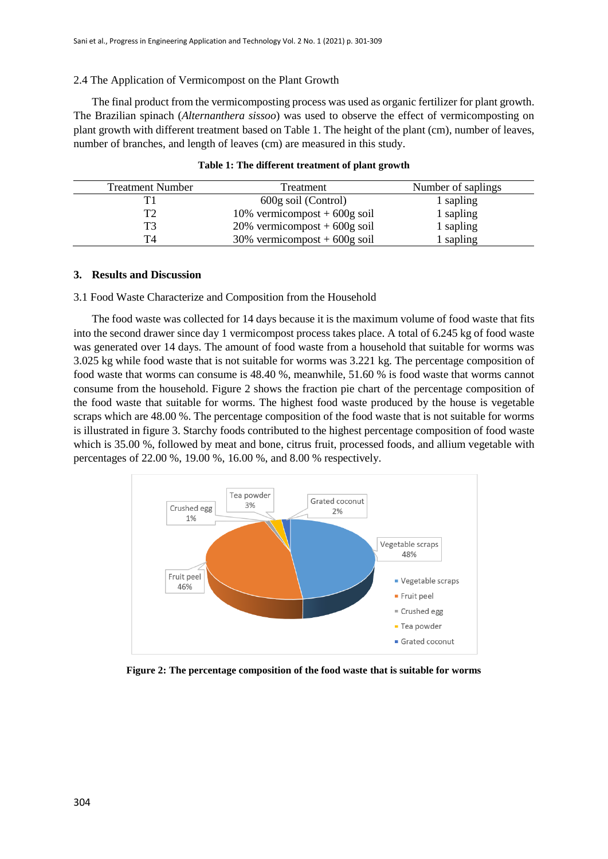#### 2.4 The Application of Vermicompost on the Plant Growth

The final product from the vermicomposting process was used as organic fertilizer for plant growth. The Brazilian spinach (*Alternanthera sissoo*) was used to observe the effect of vermicomposting on plant growth with different treatment based on Table 1. The height of the plant (cm), number of leaves, number of branches, and length of leaves (cm) are measured in this study.

| <b>Treatment Number</b> | Treatment                       | Number of saplings |
|-------------------------|---------------------------------|--------------------|
|                         | 600g soil (Control)             | 1 sapling          |
| T2                      | 10% vermicompost + $600g$ soil  | 1 sapling          |
| T3                      | $20\%$ vermicompost + 600g soil | 1 sapling          |
| T4                      | $30\%$ vermicompost + 600g soil | l sapling          |

|  |  |  | Table 1: The different treatment of plant growth |  |  |  |
|--|--|--|--------------------------------------------------|--|--|--|
|--|--|--|--------------------------------------------------|--|--|--|

#### **3. Results and Discussion**

#### 3.1 Food Waste Characterize and Composition from the Household

The food waste was collected for 14 days because it is the maximum volume of food waste that fits into the second drawer since day 1 vermicompost process takes place. A total of 6.245 kg of food waste was generated over 14 days. The amount of food waste from a household that suitable for worms was 3.025 kg while food waste that is not suitable for worms was 3.221 kg. The percentage composition of food waste that worms can consume is 48.40 %, meanwhile, 51.60 % is food waste that worms cannot consume from the household. Figure 2 shows the fraction pie chart of the percentage composition of the food waste that suitable for worms. The highest food waste produced by the house is vegetable scraps which are 48.00 %. The percentage composition of the food waste that is not suitable for worms is illustrated in figure 3. Starchy foods contributed to the highest percentage composition of food waste which is 35.00 %, followed by meat and bone, citrus fruit, processed foods, and allium vegetable with percentages of 22.00 %, 19.00 %, 16.00 %, and 8.00 % respectively.



**Figure 2: The percentage composition of the food waste that is suitable for worms**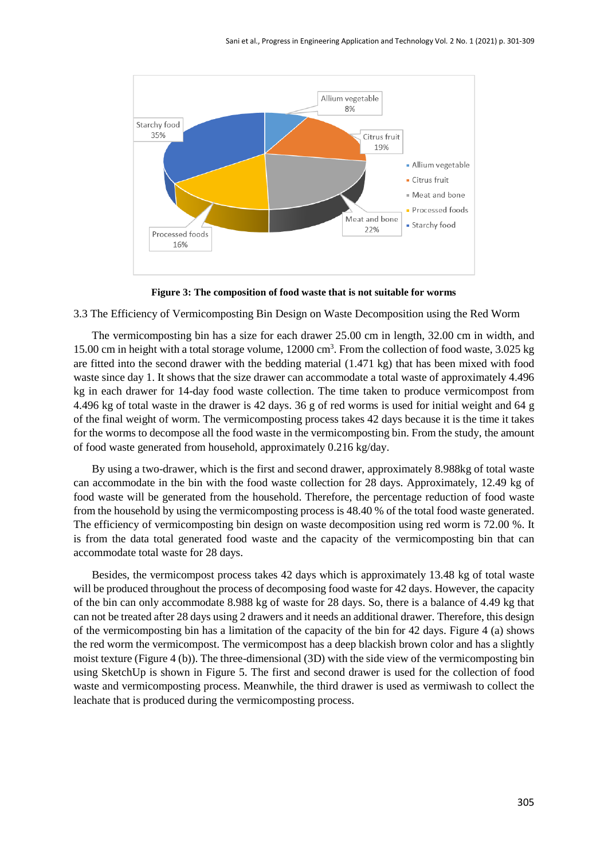

**Figure 3: The composition of food waste that is not suitable for worms**

3.3 The Efficiency of Vermicomposting Bin Design on Waste Decomposition using the Red Worm

The vermicomposting bin has a size for each drawer 25.00 cm in length, 32.00 cm in width, and 15.00 cm in height with a total storage volume, 12000 cm<sup>3</sup>. From the collection of food waste, 3.025 kg are fitted into the second drawer with the bedding material (1.471 kg) that has been mixed with food waste since day 1. It shows that the size drawer can accommodate a total waste of approximately 4.496 kg in each drawer for 14-day food waste collection. The time taken to produce vermicompost from 4.496 kg of total waste in the drawer is 42 days. 36 g of red worms is used for initial weight and 64 g of the final weight of worm. The vermicomposting process takes 42 days because it is the time it takes for the worms to decompose all the food waste in the vermicomposting bin. From the study, the amount of food waste generated from household, approximately 0.216 kg/day.

By using a two-drawer, which is the first and second drawer, approximately 8.988kg of total waste can accommodate in the bin with the food waste collection for 28 days. Approximately, 12.49 kg of food waste will be generated from the household. Therefore, the percentage reduction of food waste from the household by using the vermicomposting process is 48.40 % of the total food waste generated. The efficiency of vermicomposting bin design on waste decomposition using red worm is 72.00 %. It is from the data total generated food waste and the capacity of the vermicomposting bin that can accommodate total waste for 28 days.

Besides, the vermicompost process takes 42 days which is approximately 13.48 kg of total waste will be produced throughout the process of decomposing food waste for 42 days. However, the capacity of the bin can only accommodate 8.988 kg of waste for 28 days. So, there is a balance of 4.49 kg that can not be treated after 28 days using 2 drawers and it needs an additional drawer. Therefore, this design of the vermicomposting bin has a limitation of the capacity of the bin for 42 days. Figure 4 (a) shows the red worm the vermicompost. The vermicompost has a deep blackish brown color and has a slightly moist texture (Figure 4 (b)). The three-dimensional (3D) with the side view of the vermicomposting bin using SketchUp is shown in Figure 5. The first and second drawer is used for the collection of food waste and vermicomposting process. Meanwhile, the third drawer is used as vermiwash to collect the leachate that is produced during the vermicomposting process.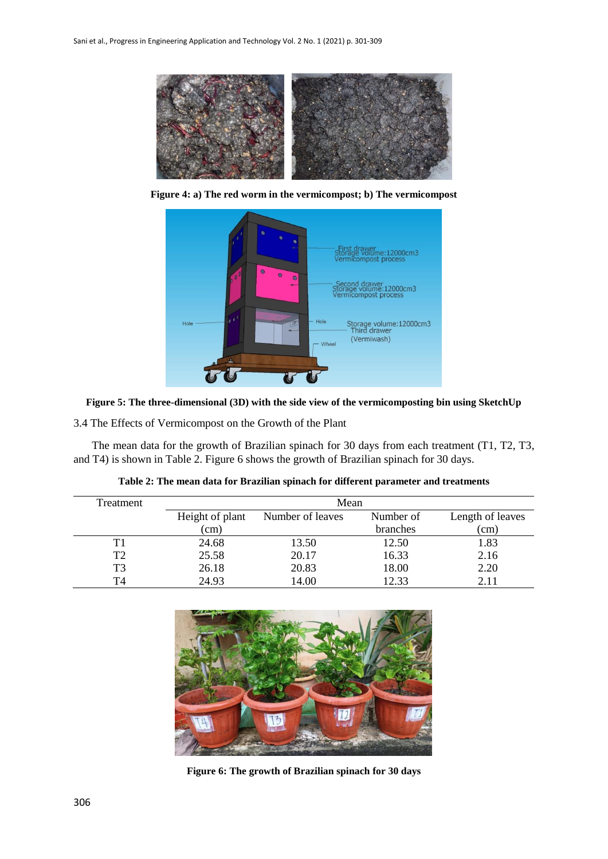

**Figure 4: a) The red worm in the vermicompost; b) The vermicompost**





3.4 The Effects of Vermicompost on the Growth of the Plant

The mean data for the growth of Brazilian spinach for 30 days from each treatment (T1, T2, T3, and T4) is shown in Table 2. Figure 6 shows the growth of Brazilian spinach for 30 days.

| Treatment | Mean            |                  |           |                  |  |  |  |
|-----------|-----------------|------------------|-----------|------------------|--|--|--|
|           | Height of plant | Number of leaves | Number of | Length of leaves |  |  |  |
|           | (cm)            |                  | branches  | (cm)             |  |  |  |
|           | 24.68           | 13.50            | 12.50     | 1.83             |  |  |  |
| T2        | 25.58           | 20.17            | 16.33     | 2.16             |  |  |  |
| T3        | 26.18           | 20.83            | 18.00     | 2.20             |  |  |  |
| T4        | 24.93           | 14.00            | 12.33     | 2.11             |  |  |  |

**Table 2: The mean data for Brazilian spinach for different parameter and treatments**



**Figure 6: The growth of Brazilian spinach for 30 days**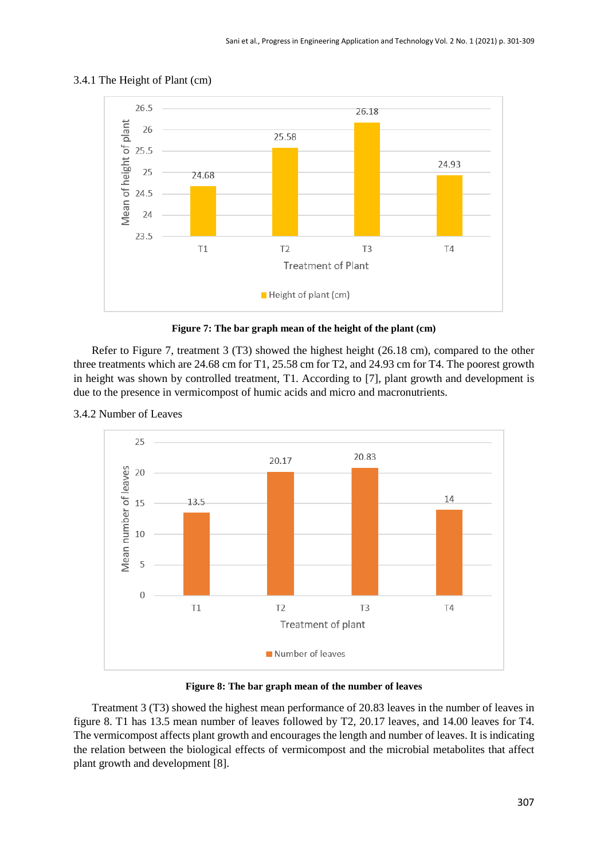

## 3.4.1 The Height of Plant (cm)



Refer to Figure 7, treatment 3 (T3) showed the highest height (26.18 cm), compared to the other three treatments which are 24.68 cm for T1, 25.58 cm for T2, and 24.93 cm for T4. The poorest growth in height was shown by controlled treatment, T1. According to [7], plant growth and development is due to the presence in vermicompost of humic acids and micro and macronutrients.



## 3.4.2 Number of Leaves

**Figure 8: The bar graph mean of the number of leaves**

Treatment 3 (T3) showed the highest mean performance of 20.83 leaves in the number of leaves in figure 8. T1 has 13.5 mean number of leaves followed by T2, 20.17 leaves, and 14.00 leaves for T4. The vermicompost affects plant growth and encourages the length and number of leaves. It is indicating the relation between the biological effects of vermicompost and the microbial metabolites that affect plant growth and development [8].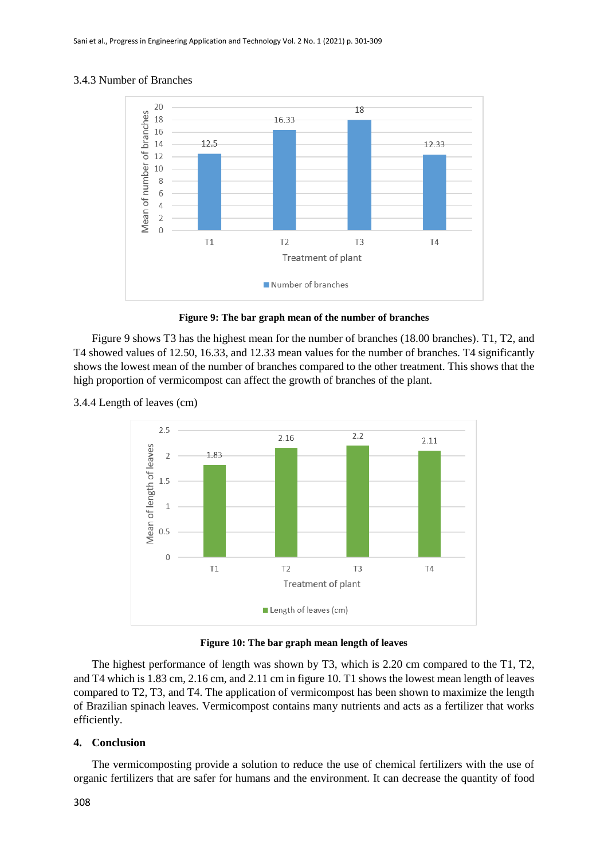### 3.4.3 Number of Branches



**Figure 9: The bar graph mean of the number of branches**

Figure 9 shows T3 has the highest mean for the number of branches (18.00 branches). T1, T2, and T4 showed values of 12.50, 16.33, and 12.33 mean values for the number of branches. T4 significantly shows the lowest mean of the number of branches compared to the other treatment. This shows that the high proportion of vermicompost can affect the growth of branches of the plant.

#### 3.4.4 Length of leaves (cm)



**Figure 10: The bar graph mean length of leaves**

The highest performance of length was shown by T3, which is 2.20 cm compared to the T1, T2, and T4 which is 1.83 cm, 2.16 cm, and 2.11 cm in figure 10. T1 shows the lowest mean length of leaves compared to T2, T3, and T4. The application of vermicompost has been shown to maximize the length of Brazilian spinach leaves. Vermicompost contains many nutrients and acts as a fertilizer that works efficiently.

## **4. Conclusion**

The vermicomposting provide a solution to reduce the use of chemical fertilizers with the use of organic fertilizers that are safer for humans and the environment. It can decrease the quantity of food